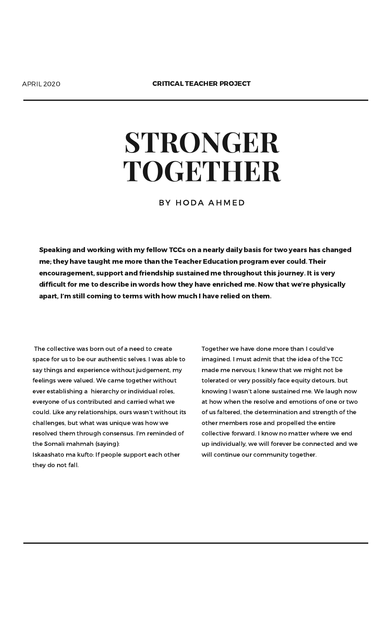## **STRONGER TOGETHER**

BY HODA AHMED

The collective was born out of a need to create space for us to be our authentic selves. I was able to say things and experience without judgement, my feelings were valued. We came together without ever establishing a hierarchy or individual roles, everyone of us contributed and carried what we could. Like any relationships, ours wasn't without its challenges, but what was unique was how we resolved them through consensus. I'm reminded of the Somali mahmah (saying):

Iskaashato ma kufto: If people support each other they do not fall.

Together we have done more than I could've imagined. I must admit that the idea of the TCC made me nervous; I knew that we might not be tolerated or very possibly face equity detours, but knowing I wasn't alone sustained me. We laugh now at how when the resolve and emotions of one or two of us faltered, the determination and strength of the other members rose and propelled the entire collective forward. I know no matter where we end up individually, we will forever be connected and we will continue our community together.

Speaking and working with my fellow TCCs on a nearly daily basis for two years has changed me; they have taught me more than the Teacher Education program ever could. Their encouragement, support and friendship sustained me throughout this journey. It is very difficult for me to describe in words how they have enriched me. Now that we're physically apart, I'm still coming to terms with how much I have relied on them.

APRIL 2020 CRITICAL TEACHER PROJECT